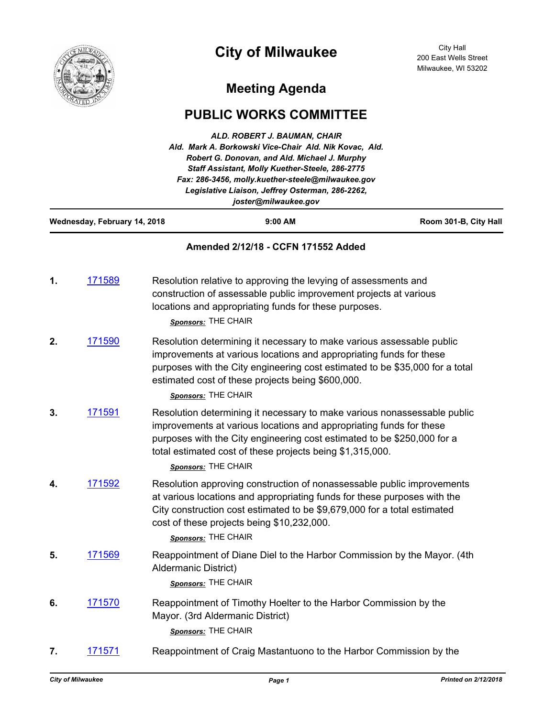

# **City of Milwaukee**

## **Meeting Agenda**

### **PUBLIC WORKS COMMITTEE**

| ALD. ROBERT J. BAUMAN, CHAIR<br>Ald. Mark A. Borkowski Vice-Chair Ald. Nik Kovac, Ald.<br>Robert G. Donovan, and Ald. Michael J. Murphy<br>Staff Assistant, Molly Kuether-Steele, 286-2775<br>Fax: 286-3456, molly.kuether-steele@milwaukee.gov<br>Legislative Liaison, Jeffrey Osterman, 286-2262,<br>joster@milwaukee.gov<br>Wednesday, February 14, 2018<br>9:00 AM<br>Room 301-B, City Hall |                |                                                                                                                                                                                                                                                                                                                |  |
|-------------------------------------------------------------------------------------------------------------------------------------------------------------------------------------------------------------------------------------------------------------------------------------------------------------------------------------------------------------------------------------------------|----------------|----------------------------------------------------------------------------------------------------------------------------------------------------------------------------------------------------------------------------------------------------------------------------------------------------------------|--|
|                                                                                                                                                                                                                                                                                                                                                                                                 |                |                                                                                                                                                                                                                                                                                                                |  |
| 1.                                                                                                                                                                                                                                                                                                                                                                                              | 171589         | Resolution relative to approving the levying of assessments and<br>construction of assessable public improvement projects at various<br>locations and appropriating funds for these purposes.<br>Sponsors: THE CHAIR                                                                                           |  |
| 2.                                                                                                                                                                                                                                                                                                                                                                                              | 171590         | Resolution determining it necessary to make various assessable public<br>improvements at various locations and appropriating funds for these<br>purposes with the City engineering cost estimated to be \$35,000 for a total<br>estimated cost of these projects being \$600,000.<br>Sponsors: THE CHAIR       |  |
| 3.                                                                                                                                                                                                                                                                                                                                                                                              | 171591         | Resolution determining it necessary to make various nonassessable public<br>improvements at various locations and appropriating funds for these<br>purposes with the City engineering cost estimated to be \$250,000 for a<br>total estimated cost of these projects being \$1,315,000.<br>Sponsors: THE CHAIR |  |
| 4.                                                                                                                                                                                                                                                                                                                                                                                              | 171592         | Resolution approving construction of nonassessable public improvements<br>at various locations and appropriating funds for these purposes with the<br>City construction cost estimated to be \$9,679,000 for a total estimated<br>cost of these projects being \$10,232,000.<br>Sponsors: THE CHAIR            |  |
| 5.                                                                                                                                                                                                                                                                                                                                                                                              | <u> 171569</u> | Reappointment of Diane Diel to the Harbor Commission by the Mayor. (4th<br>Aldermanic District)<br>Sponsors: THE CHAIR                                                                                                                                                                                         |  |
| 6.                                                                                                                                                                                                                                                                                                                                                                                              | 171570         | Reappointment of Timothy Hoelter to the Harbor Commission by the<br>Mayor. (3rd Aldermanic District)<br>Sponsors: THE CHAIR                                                                                                                                                                                    |  |
| 7.                                                                                                                                                                                                                                                                                                                                                                                              | 171571         | Reappointment of Craig Mastantuono to the Harbor Commission by the                                                                                                                                                                                                                                             |  |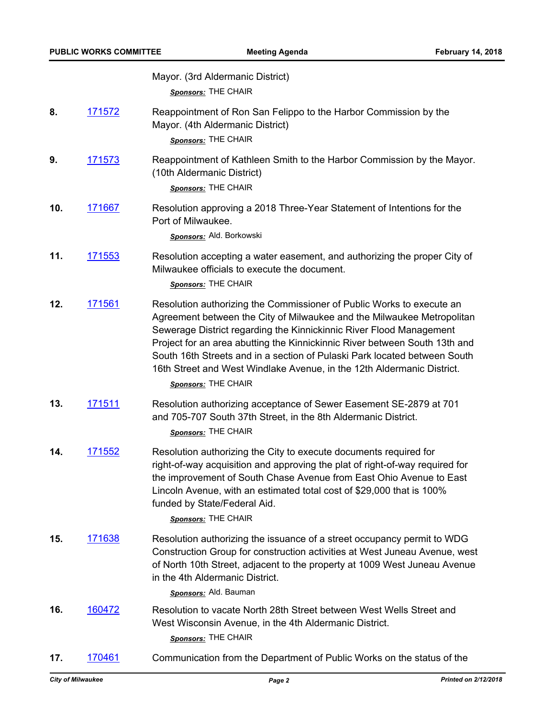| Mayor. (3rd Aldermanic District) |  |
|----------------------------------|--|
| Sponsors: THE CHAIR              |  |

- **8.** [171572](http://milwaukee.legistar.com/gateway.aspx?m=l&id=/matter.aspx?key=47432) Reappointment of Ron San Felippo to the Harbor Commission by the Mayor. (4th Aldermanic District) *Sponsors:* THE CHAIR
- **9.** [171573](http://milwaukee.legistar.com/gateway.aspx?m=l&id=/matter.aspx?key=47433) Reappointment of Kathleen Smith to the Harbor Commission by the Mayor. (10th Aldermanic District)

*Sponsors:* THE CHAIR

**10.** [171667](http://milwaukee.legistar.com/gateway.aspx?m=l&id=/matter.aspx?key=47538) Resolution approving a 2018 Three-Year Statement of Intentions for the Port of Milwaukee.

*Sponsors:* Ald. Borkowski

**11.** [171553](http://milwaukee.legistar.com/gateway.aspx?m=l&id=/matter.aspx?key=47411) Resolution accepting a water easement, and authorizing the proper City of Milwaukee officials to execute the document.

*Sponsors:* THE CHAIR

**12.** [171561](http://milwaukee.legistar.com/gateway.aspx?m=l&id=/matter.aspx?key=47421) Resolution authorizing the Commissioner of Public Works to execute an Agreement between the City of Milwaukee and the Milwaukee Metropolitan Sewerage District regarding the Kinnickinnic River Flood Management Project for an area abutting the Kinnickinnic River between South 13th and South 16th Streets and in a section of Pulaski Park located between South 16th Street and West Windlake Avenue, in the 12th Aldermanic District.

*Sponsors:* THE CHAIR

**13.** [171511](http://milwaukee.legistar.com/gateway.aspx?m=l&id=/matter.aspx?key=47366) Resolution authorizing acceptance of Sewer Easement SE-2879 at 701 and 705-707 South 37th Street, in the 8th Aldermanic District.

*Sponsors:* THE CHAIR

**14.** [171552](http://milwaukee.legistar.com/gateway.aspx?m=l&id=/matter.aspx?key=47410) Resolution authorizing the City to execute documents required for right-of-way acquisition and approving the plat of right-of-way required for the improvement of South Chase Avenue from East Ohio Avenue to East Lincoln Avenue, with an estimated total cost of \$29,000 that is 100% funded by State/Federal Aid.

*Sponsors:* THE CHAIR

**15.** [171638](http://milwaukee.legistar.com/gateway.aspx?m=l&id=/matter.aspx?key=47508) Resolution authorizing the issuance of a street occupancy permit to WDG Construction Group for construction activities at West Juneau Avenue, west of North 10th Street, adjacent to the property at 1009 West Juneau Avenue in the 4th Aldermanic District.

*Sponsors:* Ald. Bauman

- **16.** [160472](http://milwaukee.legistar.com/gateway.aspx?m=l&id=/matter.aspx?key=44193) Resolution to vacate North 28th Street between West Wells Street and West Wisconsin Avenue, in the 4th Aldermanic District. *Sponsors:* THE CHAIR
- **17.** [170461](http://milwaukee.legistar.com/gateway.aspx?m=l&id=/matter.aspx?key=46184) Communication from the Department of Public Works on the status of the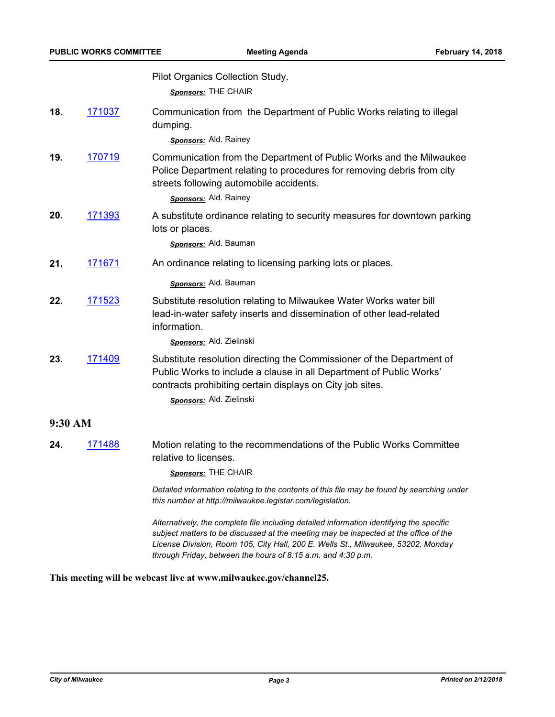Pilot Organics Collection Study.

*Sponsors:* THE CHAIR

**18.** [171037](http://milwaukee.legistar.com/gateway.aspx?m=l&id=/matter.aspx?key=46834) Communication from the Department of Public Works relating to illegal dumping.

#### *Sponsors:* Ald. Rainey

**19.** [170719](http://milwaukee.legistar.com/gateway.aspx?m=l&id=/matter.aspx?key=46472) Communication from the Department of Public Works and the Milwaukee Police Department relating to procedures for removing debris from city streets following automobile accidents.

#### *Sponsors:* Ald. Rainey

**20.** [171393](http://milwaukee.legistar.com/gateway.aspx?m=l&id=/matter.aspx?key=47231) A substitute ordinance relating to security measures for downtown parking lots or places.

*Sponsors:* Ald. Bauman

**21.** [171671](http://milwaukee.legistar.com/gateway.aspx?m=l&id=/matter.aspx?key=47542) An ordinance relating to licensing parking lots or places.

#### *Sponsors:* Ald. Bauman

**22.** [171523](http://milwaukee.legistar.com/gateway.aspx?m=l&id=/matter.aspx?key=47379) Substitute resolution relating to Milwaukee Water Works water bill lead-in-water safety inserts and dissemination of other lead-related information.

#### *Sponsors:* Ald. Zielinski

**23.** [171409](http://milwaukee.legistar.com/gateway.aspx?m=l&id=/matter.aspx?key=47250) Substitute resolution directing the Commissioner of the Department of Public Works to include a clause in all Department of Public Works' contracts prohibiting certain displays on City job sites.

*Sponsors:* Ald. Zielinski

#### **9:30 AM**

**24.** [171488](http://milwaukee.legistar.com/gateway.aspx?m=l&id=/matter.aspx?key=47337) Motion relating to the recommendations of the Public Works Committee relative to licenses.

*Sponsors:* THE CHAIR

*Detailed information relating to the contents of this file may be found by searching under this number at http://milwaukee.legistar.com/legislation.*

*Alternatively, the complete file including detailed information identifying the specific subject matters to be discussed at the meeting may be inspected at the office of the License Division, Room 105, City Hall, 200 E. Wells St., Milwaukee, 53202, Monday through Friday, between the hours of 8:15 a.m. and 4:30 p.m.*

**This meeting will be webcast live at www.milwaukee.gov/channel25.**